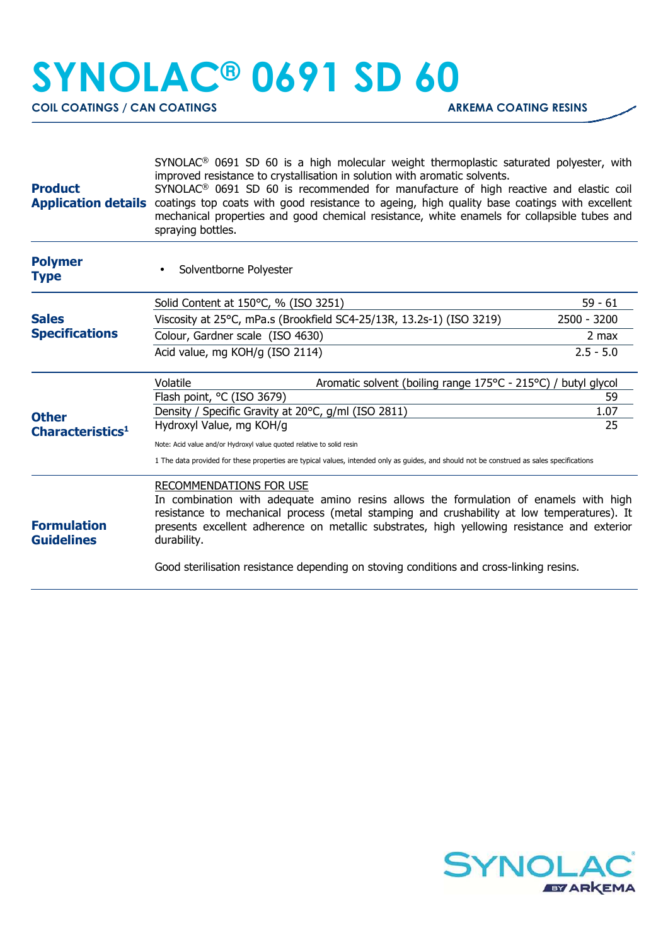## **SYNOLAC® 0691 SD 60**

**COIL COATINGS / CAN COATINGS ARKEMA COATING RESINS** 

| <b>Product</b>                               | SYNOLAC <sup>®</sup> 0691 SD 60 is a high molecular weight thermoplastic saturated polyester, with<br>improved resistance to crystallisation in solution with aromatic solvents.<br>SYNOLAC <sup>®</sup> 0691 SD 60 is recommended for manufacture of high reactive and elastic coil<br>Application details coatings top coats with good resistance to ageing, high quality base coatings with excellent<br>mechanical properties and good chemical resistance, white enamels for collapsible tubes and<br>spraying bottles. |             |  |
|----------------------------------------------|------------------------------------------------------------------------------------------------------------------------------------------------------------------------------------------------------------------------------------------------------------------------------------------------------------------------------------------------------------------------------------------------------------------------------------------------------------------------------------------------------------------------------|-------------|--|
| <b>Polymer</b><br><b>Type</b>                | Solventborne Polyester                                                                                                                                                                                                                                                                                                                                                                                                                                                                                                       |             |  |
| <b>Sales</b><br><b>Specifications</b>        | Solid Content at 150°C, % (ISO 3251)                                                                                                                                                                                                                                                                                                                                                                                                                                                                                         | $59 - 61$   |  |
|                                              | Viscosity at 25°C, mPa.s (Brookfield SC4-25/13R, 13.2s-1) (ISO 3219)                                                                                                                                                                                                                                                                                                                                                                                                                                                         | 2500 - 3200 |  |
|                                              | Colour, Gardner scale (ISO 4630)                                                                                                                                                                                                                                                                                                                                                                                                                                                                                             | $2$ max     |  |
|                                              | Acid value, mg KOH/g (ISO 2114)                                                                                                                                                                                                                                                                                                                                                                                                                                                                                              | $2.5 - 5.0$ |  |
| <b>Other</b><br>Characteristics <sup>1</sup> | Volatile<br>Aromatic solvent (boiling range 175°C - 215°C) / butyl glycol                                                                                                                                                                                                                                                                                                                                                                                                                                                    |             |  |
|                                              | Flash point, °C (ISO 3679)                                                                                                                                                                                                                                                                                                                                                                                                                                                                                                   | 59          |  |
|                                              | Density / Specific Gravity at 20°C, g/ml (ISO 2811)                                                                                                                                                                                                                                                                                                                                                                                                                                                                          | 1.07        |  |
|                                              | Hydroxyl Value, mg KOH/g                                                                                                                                                                                                                                                                                                                                                                                                                                                                                                     | 25          |  |
|                                              | Note: Acid value and/or Hydroxyl value quoted relative to solid resin                                                                                                                                                                                                                                                                                                                                                                                                                                                        |             |  |
|                                              | 1 The data provided for these properties are typical values, intended only as guides, and should not be construed as sales specifications                                                                                                                                                                                                                                                                                                                                                                                    |             |  |
| <b>Formulation</b><br><b>Guidelines</b>      | RECOMMENDATIONS FOR USE<br>In combination with adequate amino resins allows the formulation of enamels with high<br>resistance to mechanical process (metal stamping and crushability at low temperatures). It<br>presents excellent adherence on metallic substrates, high yellowing resistance and exterior<br>durability.<br>Good sterilisation resistance depending on stoving conditions and cross-linking resins.                                                                                                      |             |  |
|                                              |                                                                                                                                                                                                                                                                                                                                                                                                                                                                                                                              |             |  |